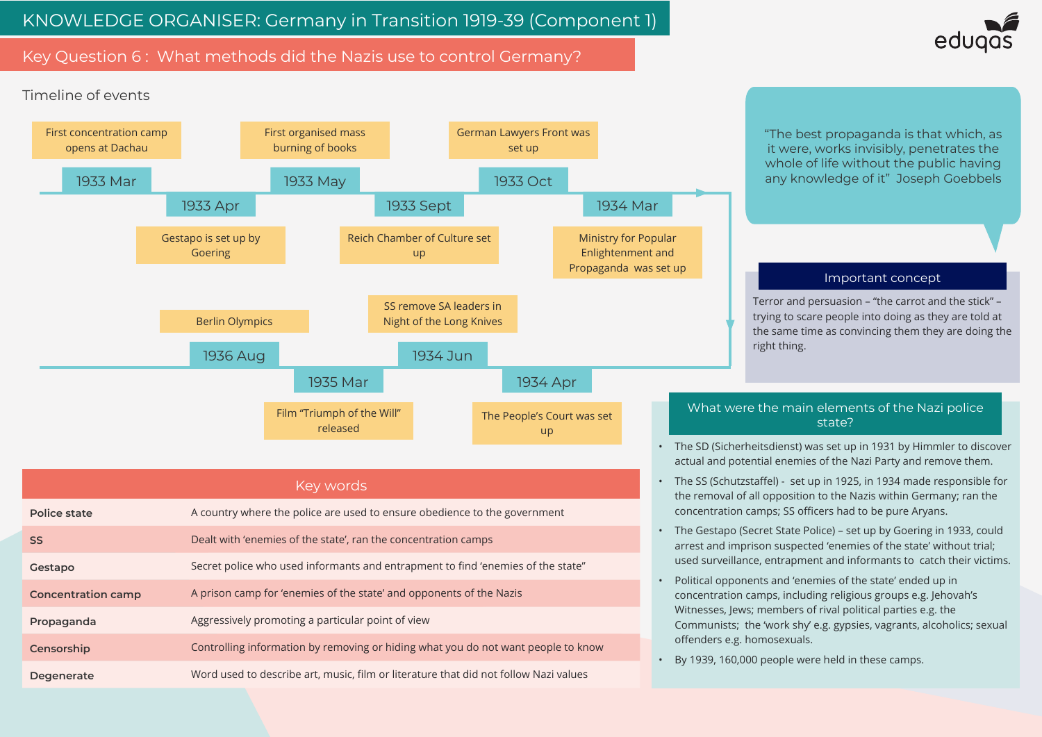# Key Question 6: What methods did the Nazis use to control Germany?





Terror and persuasion – "the carrot and the stick" – trying to scare people into doing as they are told at the same time as convincing them they are doing the

# Important concept

"The best propaganda is that which, as it were, works invisibly, penetrates the whole of life without the public having any knowledge of it" Joseph Goebbels

• The SD (Sicherheitsdienst) was set up in 1931 by Himmler to discover actual and potential enemies of the Nazi Party and remove them.

• The SS (Schutzstaffel) - set up in 1925, in 1934 made responsible for the removal of all opposition to the Nazis within Germany; ran the concentration camps; SS officers had to be pure Aryans.

• The Gestapo (Secret State Police) – set up by Goering in 1933, could arrest and imprison suspected 'enemies of the state' without trial; used surveillance, entrapment and informants to catch their victims.

• Political opponents and 'enemies of the state' ended up in concentration camps, including religious groups e.g. Jehovah's Witnesses, Jews; members of rival political parties e.g. the Communists; the 'work shy' e.g. gypsies, vagrants, alcoholics; sexual

By 1939, 160,000 people were held in these camps.

# What were the main elements of the Nazi police state?